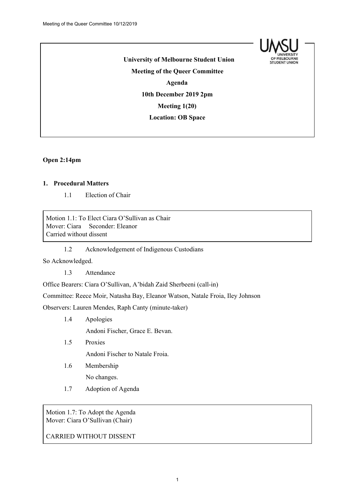

**University of Melbourne Student Union Meeting of the Queer Committee Agenda 10th December 2019 2pm Meeting 1(20) Location: OB Space**

#### **Open 2:14pm**

## **1. Procedural Matters**

1.1 Election of Chair

Motion 1.1: To Elect Ciara O'Sullivan as Chair Mover: Ciara Seconder: Eleanor Carried without dissent

1.2 Acknowledgement of Indigenous Custodians

So Acknowledged.

1.3 Attendance

Office Bearers: Ciara O'Sullivan, A'bidah Zaid Sherbeeni (call-in)

Committee: Reece Moir, Natasha Bay, Eleanor Watson, Natale Froia, Iley Johnson

Observers: Lauren Mendes, Raph Canty (minute-taker)

1.4 Apologies

Andoni Fischer, Grace E. Bevan.

1.5 Proxies

Andoni Fischer to Natale Froia.

1.6 Membership

No changes.

1.7 Adoption of Agenda

Motion 1.7: To Adopt the Agenda Mover: Ciara O'Sullivan (Chair)

CARRIED WITHOUT DISSENT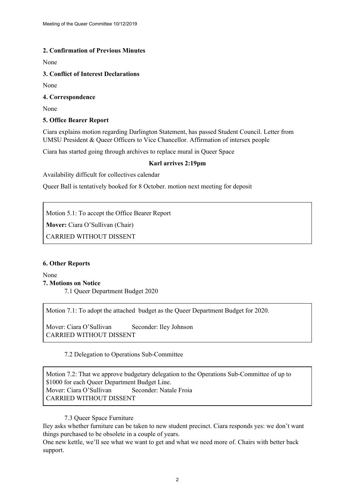# **2. Confirmation of Previous Minutes**

None

### **3. Conflict of Interest Declarations**

None

### **4. Correspondence**

None

# **5. Office Bearer Report**

Ciara explains motion regarding Darlington Statement, has passed Student Council. Letter from UMSU President & Queer Officers to Vice Chancellor. Affirmation of intersex people

Ciara has started going through archives to replace mural in Queer Space

# **Karl arrives 2:19pm**

Availability difficult for collectives calendar

Queer Ball is tentatively booked for 8 October. motion next meeting for deposit

Motion 5.1: To accept the Office Bearer Report

**Mover:** Ciara O'Sullivan (Chair)

CARRIED WITHOUT DISSENT

### **6. Other Reports**

None **7. Motions on Notice** 7.1 Queer Department Budget 2020

Motion 7.1: To adopt the attached budget as the Queer Department Budget for 2020.

Mover: Ciara O'Sullivan Seconder: Iley Johnson CARRIED WITHOUT DISSENT

7.2 Delegation to Operations Sub-Committee

Motion 7.2: That we approve budgetary delegation to the Operations Sub-Committee of up to \$1000 for each Queer Department Budget Line. Mover: Ciara O'Sullivan Seconder: Natale Froia CARRIED WITHOUT DISSENT

7.3 Queer Space Furniture

Iley asks whether furniture can be taken to new student precinct. Ciara responds yes: we don't want things purchased to be obsolete in a couple of years.

One new kettle, we'll see what we want to get and what we need more of. Chairs with better back support.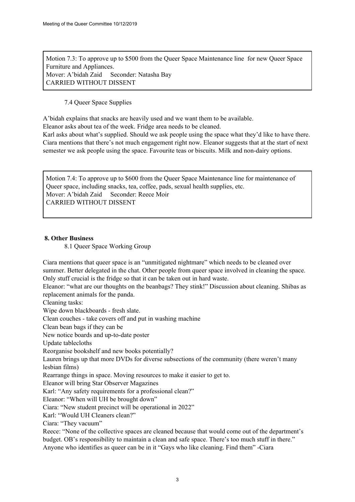Motion 7.3: To approve up to \$500 from the Queer Space Maintenance line for new Queer Space Furniture and Appliances. Mover: A'bidah Zaid Seconder: Natasha Bay CARRIED WITHOUT DISSENT

7.4 Queer Space Supplies

A'bidah explains that snacks are heavily used and we want them to be available.

Eleanor asks about tea of the week. Fridge area needs to be cleaned.

Karl asks about what's supplied. Should we ask people using the space what they'd like to have there. Ciara mentions that there's not much engagement right now. Eleanor suggests that at the start of next semester we ask people using the space. Favourite teas or biscuits. Milk and non-dairy options.

Motion 7.4: To approve up to \$600 from the Queer Space Maintenance line for maintenance of Queer space, including snacks, tea, coffee, pads, sexual health supplies, etc. Mover: A'bidah Zaid Seconder: Reece Moir CARRIED WITHOUT DISSENT

### **8. Other Business**

8.1 Queer Space Working Group

Ciara mentions that queer space is an "unmitigated nightmare" which needs to be cleaned over summer. Better delegated in the chat. Other people from queer space involved in cleaning the space. Only stuff crucial is the fridge so that it can be taken out in hard waste.

Eleanor: "what are our thoughts on the beanbags? They stink!" Discussion about cleaning. Shibas as replacement animals for the panda.

Cleaning tasks:

Wipe down blackboards - fresh slate.

Clean couches - take covers off and put in washing machine

Clean bean bags if they can be

New notice boards and up-to-date poster

Update tablecloths

Reorganise bookshelf and new books potentially?

Lauren brings up that more DVDs for diverse subsections of the community (there weren't many lesbian films)

Rearrange things in space. Moving resources to make it easier to get to.

Eleanor will bring Star Observer Magazines

Karl: "Any safety requirements for a professional clean?"

Eleanor: "When will UH be brought down"

Ciara: "New student precinct will be operational in 2022"

Karl: "Would UH Cleaners clean?"

Ciara: "They vacuum"

Reece: "None of the collective spaces are cleaned because that would come out of the department's budget. OB's responsibility to maintain a clean and safe space. There's too much stuff in there." Anyone who identifies as queer can be in it "Gays who like cleaning. Find them" -Ciara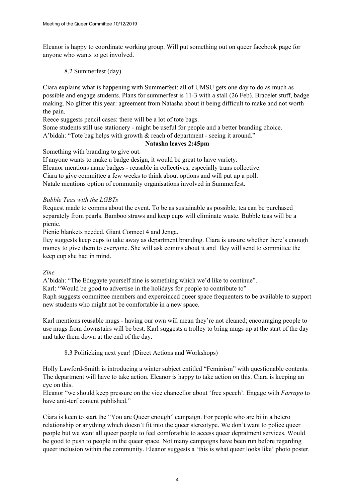Eleanor is happy to coordinate working group. Will put something out on queer facebook page for anyone who wants to get involved.

8.2 Summerfest (day)

Ciara explains what is happening with Summerfest: all of UMSU gets one day to do as much as possible and engage students. Plans for summerfest is 11-3 with a stall (26 Feb). Bracelet stuff, badge making. No glitter this year: agreement from Natasha about it being difficult to make and not worth the pain.

Reece suggests pencil cases: there will be a lot of tote bags.

Some students still use stationery - might be useful for people and a better branding choice.

A'bidah: "Tote bag helps with growth & reach of department - seeing it around."

# **Natasha leaves 2:45pm**

Something with branding to give out.

If anyone wants to make a badge design, it would be great to have variety.

Eleanor mentions name badges - reusable in collectives, especially trans collective.

Ciara to give committee a few weeks to think about options and will put up a poll.

Natale mentions option of community organisations involved in Summerfest.

# *Bubble Teas with the LGBTs*

Request made to comms about the event. To be as sustainable as possible, tea can be purchased separately from pearls. Bamboo straws and keep cups will eliminate waste. Bubble teas will be a picnic.

Picnic blankets needed. Giant Connect 4 and Jenga.

Iley suggests keep cups to take away as department branding. Ciara is unsure whether there's enough money to give them to everyone. She will ask comms about it and Iley will send to committee the keep cup she had in mind.

### *Zine*

A'bidah: "The Edugayte yourself zine is something which we'd like to continue".

Karl: "Would be good to advertise in the holidays for people to contribute to"

Raph suggests committee members and expereinced queer space frequenters to be available to support new students who might not be comfortable in a new space.

Karl mentions reusable mugs - having our own will mean they're not cleaned; encouraging people to use mugs from downstairs will be best. Karl suggests a trolley to bring mugs up at the start of the day and take them down at the end of the day.

8.3 Politicking next year! (Direct Actions and Workshops)

Holly Lawford-Smith is introducing a winter subject entitled "Feminism" with questionable contents. The department will have to take action. Eleanor is happy to take action on this. Ciara is keeping an eye on this.

Eleanor "we should keep pressure on the vice chancellor about 'free speech'. Engage with *Farrago* to have anti-terf content published."

Ciara is keen to start the "You are Queer enough" campaign. For people who are bi in a hetero relationship or anything which doesn't fit into the queer stereotype. We don't want to police queer people but we want all queer people to feel comforatble to access queer depratment services. Would be good to push to people in the queer space. Not many campaigns have been run before regarding queer inclusion within the community. Eleanor suggests a 'this is what queer looks like' photo poster.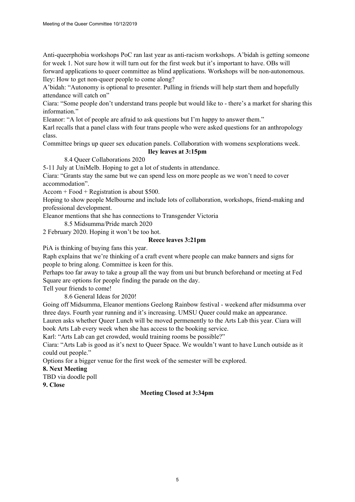Anti-queerphobia workshops PoC ran last year as anti-racism workshops. A'bidah is getting someone for week 1. Not sure how it will turn out for the first week but it's important to have. OBs will forward applications to queer committee as blind applications. Workshops will be non-autonomous. Iley: How to get non-queer people to come along?

A'bidah: "Autonomy is optional to presenter. Pulling in friends will help start them and hopefully attendance will catch on"

Ciara: "Some people don't understand trans people but would like to - there's a market for sharing this information"

Eleanor: "A lot of people are afraid to ask questions but I'm happy to answer them."

Karl recalls that a panel class with four trans people who were asked questions for an anthropology class.

Committee brings up queer sex education panels. Collaboration with womens sexplorations week.

#### **Iley leaves at 3:15pm**

8.4 Queer Collaborations 2020

5-11 July at UniMelb. Hoping to get a lot of students in attendance.

Ciara: "Grants stay the same but we can spend less on more people as we won't need to cover accommodation".

Accom + Food + Registration is about \$500.

Hoping to show people Melbourne and include lots of collaboration, workshops, friend-making and professional development.

Eleanor mentions that she has connections to Transgender Victoria

8.5 Midsumma/Pride march 2020

2 February 2020. Hoping it won't be too hot.

#### **Reece leaves 3:21pm**

PiA is thinking of buying fans this year.

Raph explains that we're thinking of a craft event where people can make banners and signs for people to bring along. Committee is keen for this.

Perhaps too far away to take a group all the way from uni but brunch beforehand or meeting at Fed Square are options for people finding the parade on the day.

Tell your friends to come!

8.6 General Ideas for 2020!

Going off Midsumma, Eleanor mentions Geelong Rainbow festival - weekend after midsumma over three days. Fourth year running and it's increasing. UMSU Queer could make an appearance.

Lauren asks whether Queer Lunch will be moved permenently to the Arts Lab this year. Ciara will book Arts Lab every week when she has access to the booking service.

Karl: "Arts Lab can get crowded, would training rooms be possible?"

Ciara: "Arts Lab is good as it's next to Queer Space. We wouldn't want to have Lunch outside as it could out people."

Options for a bigger venue for the first week of the semester will be explored.

#### **8. Next Meeting**

TBD via doodle poll

**9. Close**

### **Meeting Closed at 3:34pm**